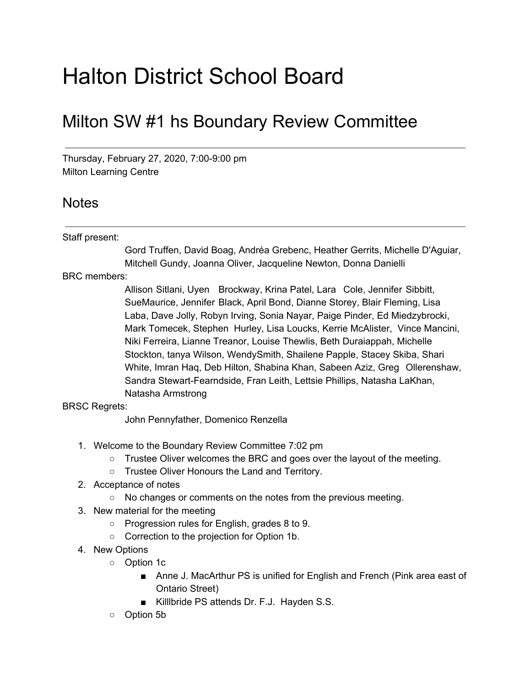## Halton District School Board

## Milton SW #1 hs Boundary Review Committee

Thursday, February 27, 2020, 7:00-9:00 pm Milton Learning Centre

## **Notes**

## Staff present:

Gord Truffen, David Boag, Andréa Grebenc, Heather Gerrits, Michelle D'Aguiar, Mitchell Gundy, Joanna Oliver, Jacqueline Newton, Donna Danielli

BRC members:

Allison Sitlani, Uyen Brockway, Krina Patel, Lara Cole, Jennifer Sibbitt, SueMaurice, Jennifer Black, April Bond, Dianne Storey, Blair Fleming, Lisa Laba, Dave Jolly, Robyn Irving, Sonia Nayar, Paige Pinder, Ed Miedzybrocki, Mark Tomecek, Stephen Hurley, Lisa Loucks, Kerrie McAlister, Vince Mancini, Niki Ferreira, Lianne Treanor, Louise Thewlis, Beth Duraiappah, Michelle Stockton, tanya Wilson, WendySmith, Shailene Papple, Stacey Skiba, Shari White, Imran Haq, Deb Hilton, Shabina Khan, Sabeen Aziz, Greg Ollerenshaw, Sandra Stewart-Fearndside, Fran Leith, Lettsie Phillips, Natasha LaKhan, Natasha Armstrong

BRSC Regrets:

John Pennyfather, Domenico Renzella

- 1. Welcome to the Boundary Review Committee 7:02 pm
	- $\circ$  Trustee Oliver welcomes the BRC and goes over the layout of the meeting.
	- Trustee Oliver Honours the Land and Territory.
- 2. Acceptance of notes
	- No changes or comments on the notes from the previous meeting.
- 3. New material for the meeting
	- Progression rules for English, grades 8 to 9.
	- Correction to the projection for Option 1b.
- 4. New Options
	- Option 1c
		- Anne J. MacArthur PS is unified for English and French (Pink area east of Ontario Street)
		- KillIbride PS attends Dr. F.J. Hayden S.S.
	- Option 5b